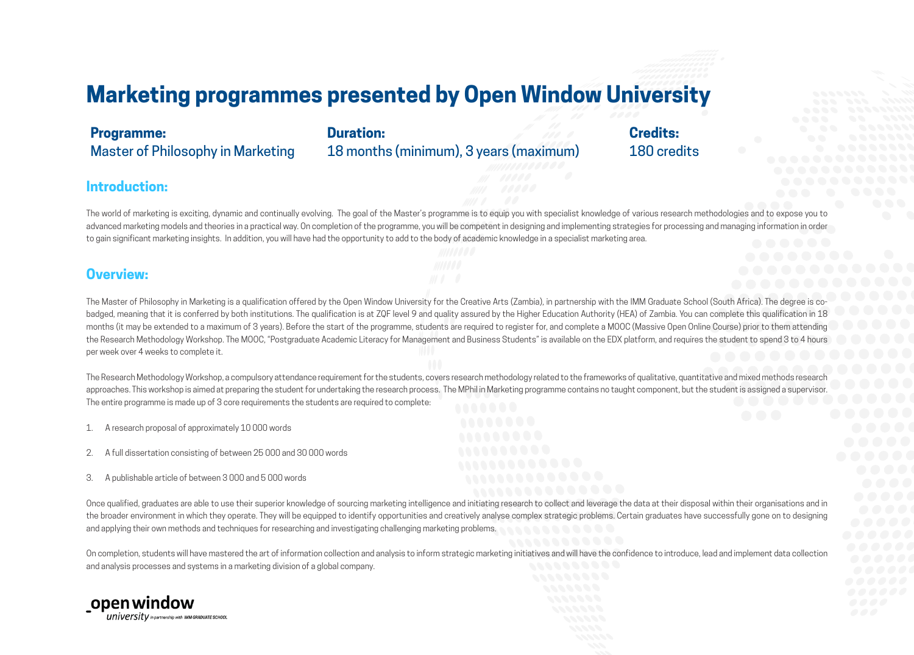# **Marketing programmes presented by Open Window University**

**Programme: Duration: Credits:** Master of Philosophy in Marketing 18 months (minimum), 3 years (maximum) 180 credits

#### **Introduction:**

The world of marketing is exciting, dynamic and continually evolving. The goal of the Master's programme is to equip you with specialist knowledge of various research methodologies and to expose you to advanced marketing models and theories in a practical way. On completion of the programme, you will be competent in designing and implementing strategies for processing and managing information in order to gain significant marketing insights. In addition, you will have had the opportunity to add to the body of academic knowledge in a specialist marketing area.

#### **Overview:**

The Master of Philosophy in Marketing is a qualification offered by the Open Window University for the Creative Arts (Zambia), in partnership with the IMM Graduate School (South Africa). The degree is cobadged, meaning that it is conferred by both institutions. The qualification is at ZQF level 9 and quality assured by the Higher Education Authority (HEA) of Zambia. You can complete this qualification in 18 months (it may be extended to a maximum of 3 years). Before the start of the programme, students are required to register for, and complete a MOOC (Massive Open Online Course) prior to them attending the Research Methodology Workshop. The MOOC, "Postgraduate Academic Literacy for Management and Business Students" is available on the EDX platform, and requires the student to spend 3 to 4 hours per week over 4 weeks to complete it.

The Research Methodology Workshop, a compulsory attendance requirement for the students, covers research methodology related to the frameworks of qualitative, quantitative and mixed methods research approaches. This workshop is aimed at preparing the student for undertaking the research process. The MPhil in Marketing programme contains no taught component, but the student is assigned a supervisor. The entire programme is made up of 3 core requirements the students are required to complete:

1. A research proposal of approximately 10 000 words

- 2. A full dissertation consisting of between 25 000 and 30 000 words
- 3. A publishable article of between 3 000 and 5 000 words

Once qualified, graduates are able to use their superior knowledge of sourcing marketing intelligence and initiating research to collect and leverage the data at their disposal within their organisations and in the broader environment in which they operate. They will be equipped to identify opportunities and creatively analyse complex strategic problems. Certain graduates have successfully gone on to designing and applying their own methods and techniques for researching and investigating challenging marketing problems.

On completion, students will have mastered the art of information collection and analysis to inform strategic marketing initiatives and will have the confidence to introduce, lead and implement data collection and analysis processes and systems in a marketing division of a global company.